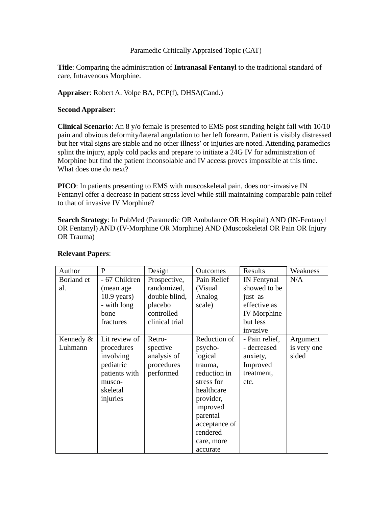### Paramedic Critically Appraised Topic (CAT)

**Title**: Comparing the administration of **Intranasal Fentanyl** to the traditional standard of care, Intravenous Morphine.

### **Appraiser**: Robert A. Volpe BA, PCP(f), DHSA(Cand.)

### **Second Appraiser**:

**Clinical Scenario**: An 8 y/o female is presented to EMS post standing height fall with 10/10 pain and obvious deformity/lateral angulation to her left forearm. Patient is visibly distressed but her vital signs are stable and no other illness' or injuries are noted. Attending paramedics splint the injury, apply cold packs and prepare to initiate a 24G IV for administration of Morphine but find the patient inconsolable and IV access proves impossible at this time. What does one do next?

**PICO**: In patients presenting to EMS with muscoskeletal pain, does non-invasive IN Fentanyl offer a decrease in patient stress level while still maintaining comparable pain relief to that of invasive IV Morphine?

**Search Strategy**: In PubMed (Paramedic OR Ambulance OR Hospital) AND (IN-Fentanyl OR Fentanyl) AND (IV-Morphine OR Morphine) AND (Muscoskeletal OR Pain OR Injury OR Trauma)

| Author     | P             | Design         | <b>Outcomes</b> | Results            | Weakness    |
|------------|---------------|----------------|-----------------|--------------------|-------------|
| Borland et | - 67 Children | Prospective,   | Pain Relief     | IN Fentynal        | N/A         |
| al.        | (mean age     | randomized,    | (Visual)        | showed to be       |             |
|            | $10.9$ years) | double blind,  | Analog          | just as            |             |
|            | - with long   | placebo        | scale)          | effective as       |             |
|            | bone          | controlled     |                 | <b>IV</b> Morphine |             |
|            | fractures     | clinical trial |                 | but less           |             |
|            |               |                |                 | invasive           |             |
| Kennedy &  | Lit review of | Retro-         | Reduction of    | - Pain relief,     | Argument    |
| Luhmann    | procedures    | spective       | psycho-         | - decreased        | is very one |
|            | involving     | analysis of    | logical         | anxiety,           | sided       |
|            | pediatric     | procedures     | trauma,         | Improved           |             |
|            | patients with | performed      | reduction in    | treatment,         |             |
|            | musco-        |                | stress for      | etc.               |             |
|            | skeletal      |                | healthcare      |                    |             |
|            | injuries      |                | provider,       |                    |             |
|            |               |                | improved        |                    |             |
|            |               |                | parental        |                    |             |
|            |               |                | acceptance of   |                    |             |
|            |               |                | rendered        |                    |             |
|            |               |                | care, more      |                    |             |
|            |               |                | accurate        |                    |             |

# **Relevant Papers**: